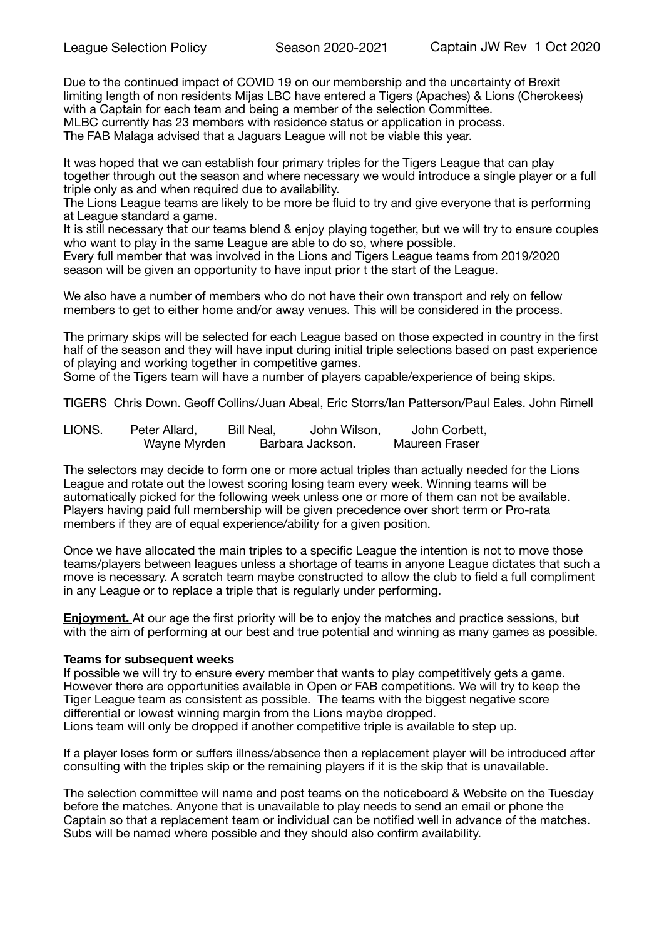Due to the continued impact of COVID 19 on our membership and the uncertainty of Brexit limiting length of non residents Mijas LBC have entered a Tigers (Apaches) & Lions (Cherokees) with a Captain for each team and being a member of the selection Committee. MLBC currently has 23 members with residence status or application in process. The FAB Malaga advised that a Jaguars League will not be viable this year.

It was hoped that we can establish four primary triples for the Tigers League that can play together through out the season and where necessary we would introduce a single player or a full triple only as and when required due to availability.

The Lions League teams are likely to be more be fluid to try and give everyone that is performing at League standard a game.

It is still necessary that our teams blend & enjoy playing together, but we will try to ensure couples who want to play in the same League are able to do so, where possible.

Every full member that was involved in the Lions and Tigers League teams from 2019/2020 season will be given an opportunity to have input prior t the start of the League.

We also have a number of members who do not have their own transport and rely on fellow members to get to either home and/or away venues. This will be considered in the process.

The primary skips will be selected for each League based on those expected in country in the first half of the season and they will have input during initial triple selections based on past experience of playing and working together in competitive games.

Some of the Tigers team will have a number of players capable/experience of being skips.

TIGERS Chris Down. Geoff Collins/Juan Abeal, Eric Storrs/Ian Patterson/Paul Eales. John Rimell

LIONS. Peter Allard, Bill Neal, John Wilson, John Corbett, Wayne Myrden Barbara Jackson. Maureen Fraser

The selectors may decide to form one or more actual triples than actually needed for the Lions League and rotate out the lowest scoring losing team every week. Winning teams will be automatically picked for the following week unless one or more of them can not be available. Players having paid full membership will be given precedence over short term or Pro-rata members if they are of equal experience/ability for a given position.

Once we have allocated the main triples to a specific League the intention is not to move those teams/players between leagues unless a shortage of teams in anyone League dictates that such a move is necessary. A scratch team maybe constructed to allow the club to field a full compliment in any League or to replace a triple that is regularly under performing.

**Enjoyment.** At our age the first priority will be to enjoy the matches and practice sessions, but with the aim of performing at our best and true potential and winning as many games as possible.

## **Teams for subsequent weeks**

If possible we will try to ensure every member that wants to play competitively gets a game. However there are opportunities available in Open or FAB competitions. We will try to keep the Tiger League team as consistent as possible. The teams with the biggest negative score differential or lowest winning margin from the Lions maybe dropped. Lions team will only be dropped if another competitive triple is available to step up.

If a player loses form or suffers illness/absence then a replacement player will be introduced after consulting with the triples skip or the remaining players if it is the skip that is unavailable.

The selection committee will name and post teams on the noticeboard & Website on the Tuesday before the matches. Anyone that is unavailable to play needs to send an email or phone the Captain so that a replacement team or individual can be notified well in advance of the matches. Subs will be named where possible and they should also confirm availability.